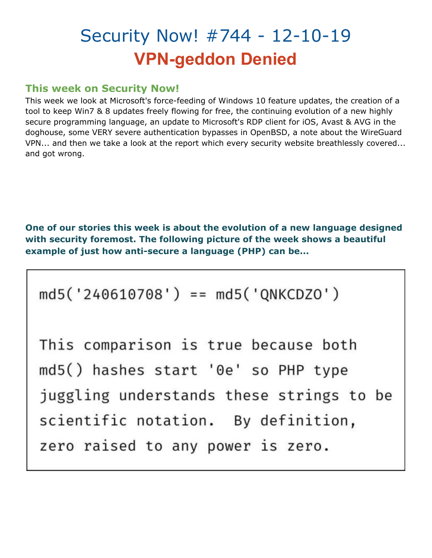# Security Now! #744 - 12-10-19 **VPN-geddon Denied**

# **This week on Security Now!**

This week we look at Microsoft's force-feeding of Windows 10 feature updates, the creation of a tool to keep Win7 & 8 updates freely flowing for free, the continuing evolution of a new highly secure programming language, an update to Microsoft's RDP client for iOS, Avast & AVG in the doghouse, some VERY severe authentication bypasses in OpenBSD, a note about the WireGuard VPN... and then we take a look at the report which every security website breathlessly covered... and got wrong.

**One of our stories this week is about the evolution of a new language designed with security foremost. The following picture of the week shows a beautiful example of just how anti-secure a language (PHP) can be...**

 $md5('240610708') == md5('QNKCDZ0')$ 

This comparison is true because both md5() hashes start '0e' so PHP type juggling understands these strings to be scientific notation. By definition, zero raised to any power is zero.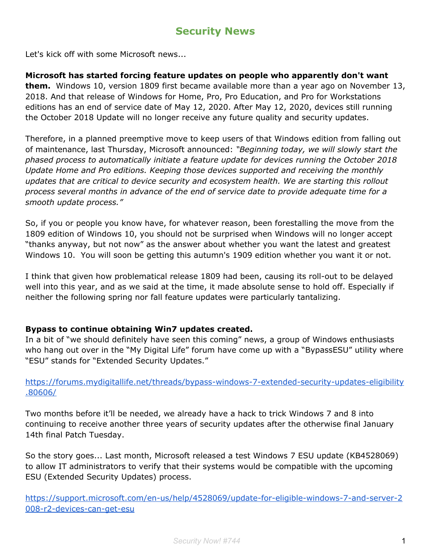# **Security News**

Let's kick off with some Microsoft news...

#### **Microsoft has started forcing feature updates on people who apparently don't want**

**them.** Windows 10, version 1809 first became available more than a year ago on November 13, 2018. And that release of Windows for Home, Pro, Pro Education, and Pro for Workstations editions has an end of service date of May 12, 2020. After May 12, 2020, devices still running the October 2018 Update will no longer receive any future quality and security updates.

Therefore, in a planned preemptive move to keep users of that Windows edition from falling out of maintenance, last Thursday, Microsoft announced: *"Beginning today, we will slowly start the phased process to automatically initiate a feature update for devices running the October 2018 Update Home and Pro editions. Keeping those devices supported and receiving the monthly updates that are critical to device security and ecosystem health. We are starting this rollout process several months in advance of the end of service date to provide adequate time for a smooth update process."*

So, if you or people you know have, for whatever reason, been forestalling the move from the 1809 edition of Windows 10, you should not be surprised when Windows will no longer accept "thanks anyway, but not now" as the answer about whether you want the latest and greatest Windows 10. You will soon be getting this autumn's 1909 edition whether you want it or not.

I think that given how problematical release 1809 had been, causing its roll-out to be delayed well into this year, and as we said at the time, it made absolute sense to hold off. Especially if neither the following spring nor fall feature updates were particularly tantalizing.

#### **Bypass to continue obtaining Win7 updates created.**

In a bit of "we should definitely have seen this coming" news, a group of Windows enthusiasts who hang out over in the "My Digital Life" forum have come up with a "BypassESU" utility where "ESU" stands for "Extended Security Updates."

[https://forums.mydigitallife.net/threads/bypass-windows-7-extended-security-updates-eligibility](https://forums.mydigitallife.net/threads/bypass-windows-7-extended-security-updates-eligibility.80606/) [.80606/](https://forums.mydigitallife.net/threads/bypass-windows-7-extended-security-updates-eligibility.80606/)

Two months before it'll be needed, we already have a hack to trick Windows 7 and 8 into continuing to receive another three years of security updates after the otherwise final January 14th final Patch Tuesday.

So the story goes... Last month, Microsoft released a test Windows 7 ESU update (KB4528069) to allow IT administrators to verify that their systems would be compatible with the upcoming ESU (Extended Security Updates) process.

[https://support.microsoft.com/en-us/help/4528069/update-for-eligible-windows-7-and-server-2](https://support.microsoft.com/en-us/help/4528069/update-for-eligible-windows-7-and-server-2008-r2-devices-can-get-esu) [008-r2-devices-can-get-esu](https://support.microsoft.com/en-us/help/4528069/update-for-eligible-windows-7-and-server-2008-r2-devices-can-get-esu)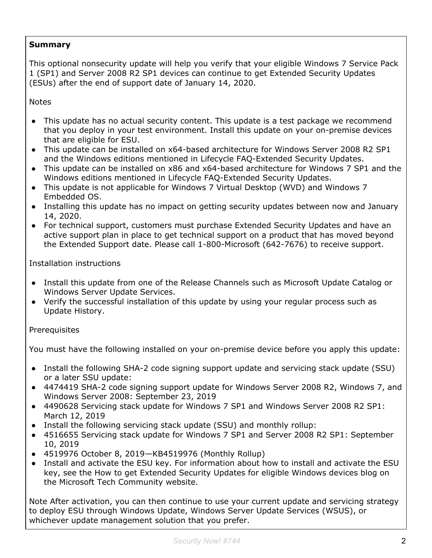# **Summary**

This optional nonsecurity update will help you verify that your eligible Windows 7 Service Pack 1 (SP1) and Server 2008 R2 SP1 devices can continue to get Extended Security Updates (ESUs) after the end of support date of January 14, 2020.

**Notes** 

- This update has no actual security content. This update is a test package we recommend that you deploy in your test environment. Install this update on your on-premise devices that are eligible for ESU.
- This update can be installed on x64-based architecture for Windows Server 2008 R2 SP1 and the Windows editions mentioned in Lifecycle FAQ-Extended Security Updates.
- This update can be installed on x86 and x64-based architecture for Windows 7 SP1 and the Windows editions mentioned in Lifecycle FAQ-Extended Security Updates.
- This update is not applicable for Windows 7 Virtual Desktop (WVD) and Windows 7 Embedded OS.
- Installing this update has no impact on getting security updates between now and January 14, 2020.
- For technical support, customers must purchase Extended Security Updates and have an active support plan in place to get technical support on a product that has moved beyond the Extended Support date. Please call 1-800-Microsoft (642-7676) to receive support.

Installation instructions

- Install this update from one of the Release Channels such as Microsoft Update Catalog or Windows Server Update Services.
- Verify the successful installation of this update by using your regular process such as Update History.

**Prerequisites** 

You must have the following installed on your on-premise device before you apply this update:

- Install the following SHA-2 code signing support update and servicing stack update (SSU) or a later SSU update:
- 4474419 SHA-2 code signing support update for Windows Server 2008 R2, Windows 7, and Windows Server 2008: September 23, 2019
- 4490628 Servicing stack update for Windows 7 SP1 and Windows Server 2008 R2 SP1: March 12, 2019
- Install the following servicing stack update (SSU) and monthly rollup:
- 4516655 Servicing stack update for Windows 7 SP1 and Server 2008 R2 SP1: September 10, 2019
- 4519976 October 8, 2019—KB4519976 (Monthly Rollup)
- Install and activate the ESU key. For information about how to install and activate the ESU key, see the How to get Extended Security Updates for eligible Windows devices blog on the Microsoft Tech Community website.

Note After activation, you can then continue to use your current update and servicing strategy to deploy ESU through Windows Update, Windows Server Update Services (WSUS), or whichever update management solution that you prefer.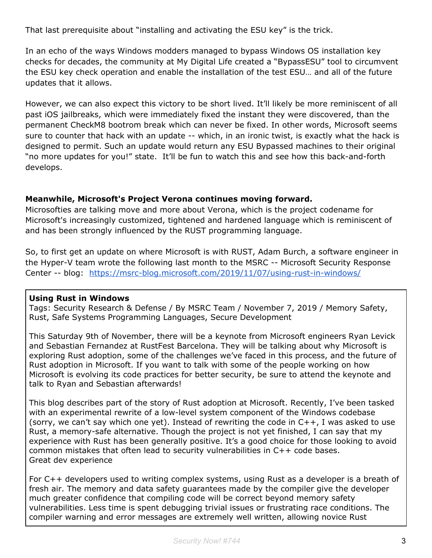That last prerequisite about "installing and activating the ESU key" is the trick.

In an echo of the ways Windows modders managed to bypass Windows OS installation key checks for decades, the community at My Digital Life created a "BypassESU" tool to circumvent the ESU key check operation and enable the installation of the test ESU… and all of the future updates that it allows.

However, we can also expect this victory to be short lived. It'll likely be more reminiscent of all past iOS jailbreaks, which were immediately fixed the instant they were discovered, than the permanent CheckM8 bootrom break which can never be fixed. In other words, Microsoft seems sure to counter that hack with an update -- which, in an ironic twist, is exactly what the hack is designed to permit. Such an update would return any ESU Bypassed machines to their original "no more updates for you!" state. It'll be fun to watch this and see how this back-and-forth develops.

#### **Meanwhile, Microsoft's Project Verona continues moving forward.**

Microsofties are talking move and more about Verona, which is the project codename for Microsoft's increasingly customized, tightened and hardened language which is reminiscent of and has been strongly influenced by the RUST programming language.

So, to first get an update on where Microsoft is with RUST, Adam Burch, a software engineer in the Hyper-V team wrote the following last month to the MSRC -- Microsoft Security Response Center -- blog: <https://msrc-blog.microsoft.com/2019/11/07/using-rust-in-windows/>

#### **Using Rust in Windows**

Tags: Security Research & Defense / By MSRC Team / November 7, 2019 / Memory Safety, Rust, Safe Systems Programming Languages, Secure Development

This Saturday 9th of November, there will be a keynote from Microsoft engineers Ryan Levick and Sebastian Fernandez at RustFest Barcelona. They will be talking about why Microsoft is exploring Rust adoption, some of the challenges we've faced in this process, and the future of Rust adoption in Microsoft. If you want to talk with some of the people working on how Microsoft is evolving its code practices for better security, be sure to attend the keynote and talk to Ryan and Sebastian afterwards!

This blog describes part of the story of Rust adoption at Microsoft. Recently, I've been tasked with an experimental rewrite of a low-level system component of the Windows codebase (sorry, we can't say which one yet). Instead of rewriting the code in C++, I was asked to use Rust, a memory-safe alternative. Though the project is not yet finished, I can say that my experience with Rust has been generally positive. It's a good choice for those looking to avoid common mistakes that often lead to security vulnerabilities in C++ code bases. Great dev experience

For C++ developers used to writing complex systems, using Rust as a developer is a breath of fresh air. The memory and data safety guarantees made by the compiler give the developer much greater confidence that compiling code will be correct beyond memory safety vulnerabilities. Less time is spent debugging trivial issues or frustrating race conditions. The compiler warning and error messages are extremely well written, allowing novice Rust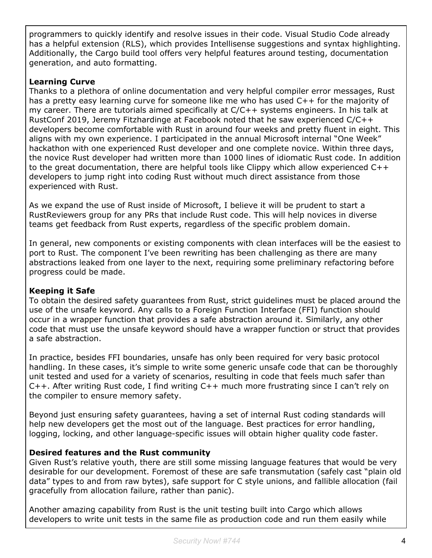programmers to quickly identify and resolve issues in their code. Visual Studio Code already has a helpful extension (RLS), which provides Intellisense suggestions and syntax highlighting. Additionally, the Cargo build tool offers very helpful features around testing, documentation generation, and auto formatting.

## **Learning Curve**

Thanks to a plethora of online documentation and very helpful compiler error messages, Rust has a pretty easy learning curve for someone like me who has used C++ for the majority of my career. There are tutorials aimed specifically at  $C/C++$  systems engineers. In his talk at RustConf 2019, Jeremy Fitzhardinge at Facebook noted that he saw experienced C/C++ developers become comfortable with Rust in around four weeks and pretty fluent in eight. This aligns with my own experience. I participated in the annual Microsoft internal "One Week" hackathon with one experienced Rust developer and one complete novice. Within three days, the novice Rust developer had written more than 1000 lines of idiomatic Rust code. In addition to the great documentation, there are helpful tools like Clippy which allow experienced C++ developers to jump right into coding Rust without much direct assistance from those experienced with Rust.

As we expand the use of Rust inside of Microsoft, I believe it will be prudent to start a RustReviewers group for any PRs that include Rust code. This will help novices in diverse teams get feedback from Rust experts, regardless of the specific problem domain.

In general, new components or existing components with clean interfaces will be the easiest to port to Rust. The component I've been rewriting has been challenging as there are many abstractions leaked from one layer to the next, requiring some preliminary refactoring before progress could be made.

# **Keeping it Safe**

To obtain the desired safety guarantees from Rust, strict guidelines must be placed around the use of the unsafe keyword. Any calls to a Foreign Function Interface (FFI) function should occur in a wrapper function that provides a safe abstraction around it. Similarly, any other code that must use the unsafe keyword should have a wrapper function or struct that provides a safe abstraction.

In practice, besides FFI boundaries, unsafe has only been required for very basic protocol handling. In these cases, it's simple to write some generic unsafe code that can be thoroughly unit tested and used for a variety of scenarios, resulting in code that feels much safer than C++. After writing Rust code, I find writing C++ much more frustrating since I can't rely on the compiler to ensure memory safety.

Beyond just ensuring safety guarantees, having a set of internal Rust coding standards will help new developers get the most out of the language. Best practices for error handling, logging, locking, and other language-specific issues will obtain higher quality code faster.

# **Desired features and the Rust community**

Given Rust's relative youth, there are still some missing language features that would be very desirable for our development. Foremost of these are safe transmutation (safely cast "plain old data" types to and from raw bytes), safe support for C style unions, and fallible allocation (fail gracefully from allocation failure, rather than panic).

Another amazing capability from Rust is the unit testing built into Cargo which allows developers to write unit tests in the same file as production code and run them easily while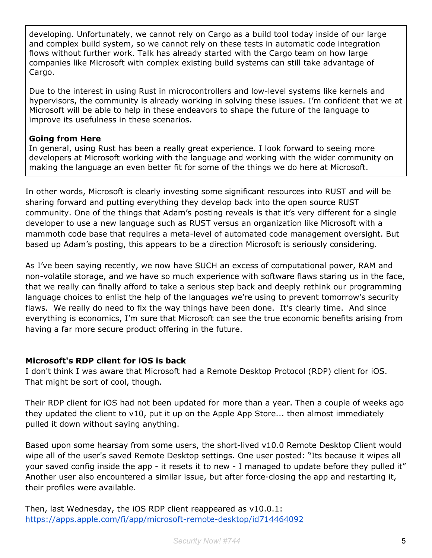developing. Unfortunately, we cannot rely on Cargo as a build tool today inside of our large and complex build system, so we cannot rely on these tests in automatic code integration flows without further work. Talk has already started with the Cargo team on how large companies like Microsoft with complex existing build systems can still take advantage of Cargo.

Due to the interest in using Rust in microcontrollers and low-level systems like kernels and hypervisors, the community is already working in solving these issues. I'm confident that we at Microsoft will be able to help in these endeavors to shape the future of the language to improve its usefulness in these scenarios.

#### **Going from Here**

In general, using Rust has been a really great experience. I look forward to seeing more developers at Microsoft working with the language and working with the wider community on making the language an even better fit for some of the things we do here at Microsoft.

In other words, Microsoft is clearly investing some significant resources into RUST and will be sharing forward and putting everything they develop back into the open source RUST community. One of the things that Adam's posting reveals is that it's very different for a single developer to use a new language such as RUST versus an organization like Microsoft with a mammoth code base that requires a meta-level of automated code management oversight. But based up Adam's posting, this appears to be a direction Microsoft is seriously considering.

As I've been saying recently, we now have SUCH an excess of computational power, RAM and non-volatile storage, and we have so much experience with software flaws staring us in the face, that we really can finally afford to take a serious step back and deeply rethink our programming language choices to enlist the help of the languages we're using to prevent tomorrow's security flaws. We really do need to fix the way things have been done. It's clearly time. And since everything is economics, I'm sure that Microsoft can see the true economic benefits arising from having a far more secure product offering in the future.

#### **Microsoft's RDP client for iOS is back**

I don't think I was aware that Microsoft had a Remote Desktop Protocol (RDP) client for iOS. That might be sort of cool, though.

Their RDP client for iOS had not been updated for more than a year. Then a couple of weeks ago they updated the client to v10, put it up on the Apple App Store... then almost immediately pulled it down without saying anything.

Based upon some hearsay from some users, the short-lived v10.0 Remote Desktop Client would wipe all of the user's saved Remote Desktop settings. One user posted: "Its because it wipes all your saved config inside the app - it resets it to new - I managed to update before they pulled it" Another user also encountered a similar issue, but after force-closing the app and restarting it, their profiles were available.

Then, last Wednesday, the iOS RDP client reappeared as v10.0.1: <https://apps.apple.com/fi/app/microsoft-remote-desktop/id714464092>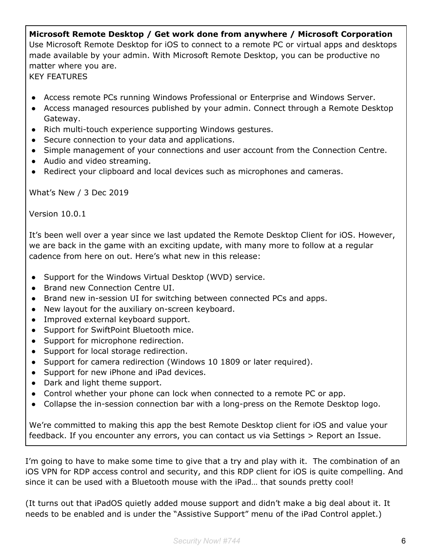# **Microsoft Remote Desktop / Get work done from anywhere / Microsoft Corporation** Use Microsoft Remote Desktop for iOS to connect to a remote PC or virtual apps and desktops made available by your admin. With Microsoft Remote Desktop, you can be productive no matter where you are. KEY FEATURES

- Access remote PCs running Windows Professional or Enterprise and Windows Server.
- Access managed resources published by your admin. Connect through a Remote Desktop Gateway.
- Rich multi-touch experience supporting Windows gestures.
- Secure connection to your data and applications.
- Simple management of your connections and user account from the Connection Centre.
- Audio and video streaming.
- Redirect your clipboard and local devices such as microphones and cameras.

What's New / 3 Dec 2019

Version 10.0.1

It's been well over a year since we last updated the Remote Desktop Client for iOS. However, we are back in the game with an exciting update, with many more to follow at a regular cadence from here on out. Here's what new in this release:

- Support for the Windows Virtual Desktop (WVD) service.
- Brand new Connection Centre UI.
- Brand new in-session UI for switching between connected PCs and apps.
- New layout for the auxiliary on-screen keyboard.
- Improved external keyboard support.
- Support for SwiftPoint Bluetooth mice.
- Support for microphone redirection.
- Support for local storage redirection.
- Support for camera redirection (Windows 10 1809 or later required).
- Support for new iPhone and iPad devices.
- Dark and light theme support.
- Control whether your phone can lock when connected to a remote PC or app.
- Collapse the in-session connection bar with a long-press on the Remote Desktop logo.

We're committed to making this app the best Remote Desktop client for iOS and value your feedback. If you encounter any errors, you can contact us via Settings > Report an Issue.

I'm going to have to make some time to give that a try and play with it. The combination of an iOS VPN for RDP access control and security, and this RDP client for iOS is quite compelling. And since it can be used with a Bluetooth mouse with the iPad… that sounds pretty cool!

(It turns out that iPadOS quietly added mouse support and didn't make a big deal about it. It needs to be enabled and is under the "Assistive Support" menu of the iPad Control applet.)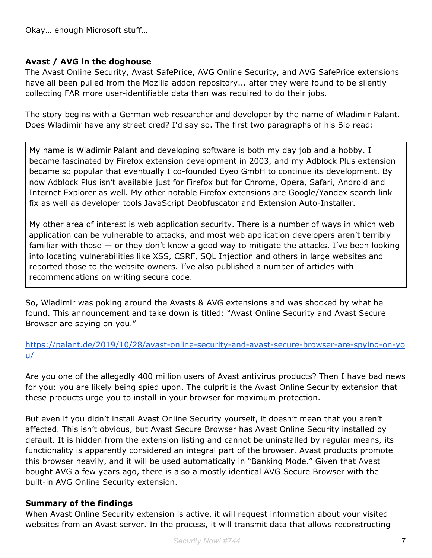Okay… enough Microsoft stuff…

#### **Avast / AVG in the doghouse**

The Avast Online Security, Avast SafePrice, AVG Online Security, and AVG SafePrice extensions have all been pulled from the Mozilla addon repository... after they were found to be silently collecting FAR more user-identifiable data than was required to do their jobs.

The story begins with a German web researcher and developer by the name of Wladimir Palant. Does Wladimir have any street cred? I'd say so. The first two paragraphs of his Bio read:

My name is Wladimir Palant and developing software is both my day job and a hobby. I became fascinated by Firefox extension development in 2003, and my Adblock Plus extension became so popular that eventually I co-founded Eyeo GmbH to continue its development. By now Adblock Plus isn't available just for Firefox but for Chrome, Opera, Safari, Android and Internet Explorer as well. My other notable Firefox extensions are Google/Yandex search link fix as well as developer tools JavaScript Deobfuscator and Extension Auto-Installer.

My other area of interest is web application security. There is a number of ways in which web application can be vulnerable to attacks, and most web application developers aren't terribly familiar with those — or they don't know a good way to mitigate the attacks. I've been looking into locating vulnerabilities like XSS, CSRF, SQL Injection and others in large websites and reported those to the website owners. I've also published a number of articles with recommendations on writing secure code.

So, Wladimir was poking around the Avasts & AVG extensions and was shocked by what he found. This announcement and take down is titled: "Avast Online Security and Avast Secure Browser are spying on you."

#### [https://palant.de/2019/10/28/avast-online-security-and-avast-secure-browser-are-spying-on-yo](https://palant.de/2019/10/28/avast-online-security-and-avast-secure-browser-are-spying-on-you/) [u/](https://palant.de/2019/10/28/avast-online-security-and-avast-secure-browser-are-spying-on-you/)

Are you one of the allegedly 400 million users of Avast antivirus products? Then I have bad news for you: you are likely being spied upon. The culprit is the Avast Online Security extension that these products urge you to install in your browser for maximum protection.

But even if you didn't install Avast Online Security yourself, it doesn't mean that you aren't affected. This isn't obvious, but Avast Secure Browser has Avast Online Security installed by default. It is hidden from the extension listing and cannot be uninstalled by regular means, its functionality is apparently considered an integral part of the browser. Avast products promote this browser heavily, and it will be used automatically in "Banking Mode." Given that Avast bought AVG a few years ago, there is also a mostly identical AVG Secure Browser with the built-in AVG Online Security extension.

#### **Summary of the findings**

When Avast Online Security extension is active, it will request information about your visited websites from an Avast server. In the process, it will transmit data that allows reconstructing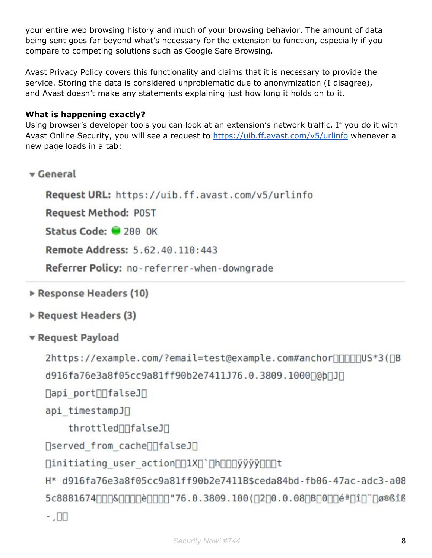your entire web browsing history and much of your browsing behavior. The amount of data being sent goes far beyond what's necessary for the extension to function, especially if you compare to competing solutions such as Google Safe Browsing.

Avast Privacy Policy covers this functionality and claims that it is necessary to provide the service. Storing the data is considered unproblematic due to anonymization (I disagree), and Avast doesn't make any statements explaining just how long it holds on to it.

# **What is happening exactly?**

Using browser's developer tools you can look at an extension's network traffic. If you do it with Avast Online Security, you will see a request to <https://uib.ff.avast.com/v5/urlinfo> whenever a new page loads in a tab:

v General

Request URL: https://uib.ff.avast.com/v5/urlinfo

**Request Method: POST** 

Status Code: 200 OK

Remote Address: 5.62.40.110:443

Referrer Policy: no-referrer-when-downgrade

- Response Headers (10)
- Request Headers (3)
- ▼ Request Payload

```
2https://example.com/?email=test@example.com#anchorooo com 53( DB
```
d916fa76e3a8f05cc9a81ff90b2e7411J76.0.3809.1000[@b[J]

 $\Box$ api port $\Box$ falseJ $\Box$ 

```
api timestampJ∏
```
throttled∏falseJ∏

∏served from cache∏[falseJ[]

[initiating\_user\_action[][1X[]`[h[][]yyyy][][]t

H\* d916fa76e3a8f05cc9a81ff90b2e7411B\$ceda84bd-fb06-47ac-adc3-a08 5c8881674 | 06616  $\cdot$  .  $\Box$  $\Box$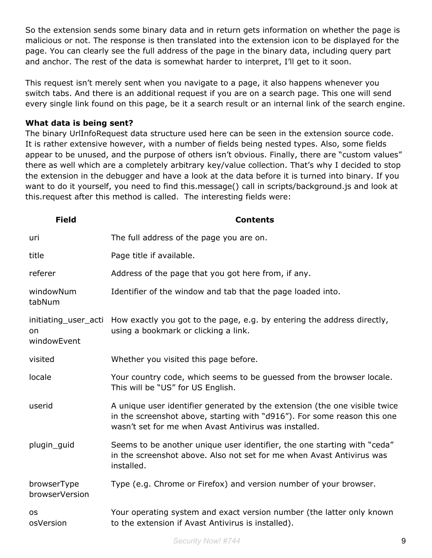So the extension sends some binary data and in return gets information on whether the page is malicious or not. The response is then translated into the extension icon to be displayed for the page. You can clearly see the full address of the page in the binary data, including query part and anchor. The rest of the data is somewhat harder to interpret, I'll get to it soon.

This request isn't merely sent when you navigate to a page, it also happens whenever you switch tabs. And there is an additional request if you are on a search page. This one will send every single link found on this page, be it a search result or an internal link of the search engine.

#### **What data is being sent?**

The binary UrlInfoRequest data structure used here can be seen in the extension source code. It is rather extensive however, with a number of fields being nested types. Also, some fields appear to be unused, and the purpose of others isn't obvious. Finally, there are "custom values" there as well which are a completely arbitrary key/value collection. That's why I decided to stop the extension in the debugger and have a look at the data before it is turned into binary. If you want to do it yourself, you need to find this.message() call in scripts/background.js and look at this.request after this method is called. The interesting fields were:

| <b>Field</b>                              | <b>Contents</b>                                                                                                                                                                                                 |
|-------------------------------------------|-----------------------------------------------------------------------------------------------------------------------------------------------------------------------------------------------------------------|
| uri                                       | The full address of the page you are on.                                                                                                                                                                        |
| title                                     | Page title if available.                                                                                                                                                                                        |
| referer                                   | Address of the page that you got here from, if any.                                                                                                                                                             |
| windowNum<br>tabNum                       | Identifier of the window and tab that the page loaded into.                                                                                                                                                     |
| initiating user acti<br>on<br>windowEvent | How exactly you got to the page, e.g. by entering the address directly,<br>using a bookmark or clicking a link.                                                                                                 |
| visited                                   | Whether you visited this page before.                                                                                                                                                                           |
| locale                                    | Your country code, which seems to be guessed from the browser locale.<br>This will be "US" for US English.                                                                                                      |
| userid                                    | A unique user identifier generated by the extension (the one visible twice<br>in the screenshot above, starting with "d916"). For some reason this one<br>wasn't set for me when Avast Antivirus was installed. |
| plugin_guid                               | Seems to be another unique user identifier, the one starting with "ceda"<br>in the screenshot above. Also not set for me when Avast Antivirus was<br>installed.                                                 |
| browserType<br>browserVersion             | Type (e.g. Chrome or Firefox) and version number of your browser.                                                                                                                                               |
| <b>OS</b><br>osVersion                    | Your operating system and exact version number (the latter only known<br>to the extension if Avast Antivirus is installed).                                                                                     |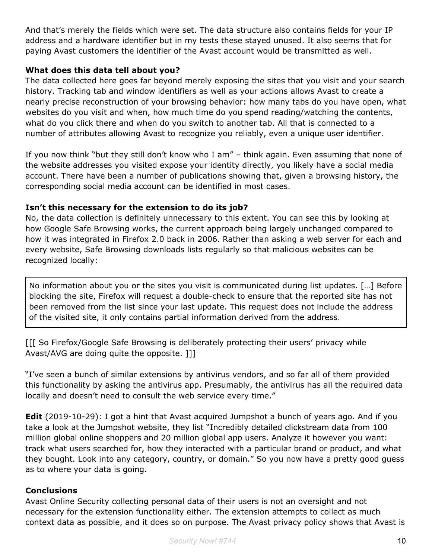And that's merely the fields which were set. The data structure also contains fields for your IP address and a hardware identifier but in my tests these stayed unused. It also seems that for paying Avast customers the identifier of the Avast account would be transmitted as well.

## **What does this data tell about you?**

The data collected here goes far beyond merely exposing the sites that you visit and your search history. Tracking tab and window identifiers as well as your actions allows Avast to create a nearly precise reconstruction of your browsing behavior: how many tabs do you have open, what websites do you visit and when, how much time do you spend reading/watching the contents, what do you click there and when do you switch to another tab. All that is connected to a number of attributes allowing Avast to recognize you reliably, even a unique user identifier.

If you now think "but they still don't know who I am" – think again. Even assuming that none of the website addresses you visited expose your identity directly, you likely have a social media account. There have been a number of publications showing that, given a browsing history, the corresponding social media account can be identified in most cases.

#### **Isn't this necessary for the extension to do its job?**

No, the data collection is definitely unnecessary to this extent. You can see this by looking at how Google Safe Browsing works, the current approach being largely unchanged compared to how it was integrated in Firefox 2.0 back in 2006. Rather than asking a web server for each and every website, Safe Browsing downloads lists regularly so that malicious websites can be recognized locally:

No information about you or the sites you visit is communicated during list updates. […] Before blocking the site, Firefox will request a double-check to ensure that the reported site has not been removed from the list since your last update. This request does not include the address of the visited site, it only contains partial information derived from the address.

[[[ So Firefox/Google Safe Browsing is deliberately protecting their users' privacy while Avast/AVG are doing quite the opposite. ]]]

"I've seen a bunch of similar extensions by antivirus vendors, and so far all of them provided this functionality by asking the antivirus app. Presumably, the antivirus has all the required data locally and doesn't need to consult the web service every time."

**Edit** (2019-10-29): I got a hint that Avast acquired Jumpshot a bunch of years ago. And if you take a look at the Jumpshot website, they list "Incredibly detailed clickstream data from 100 million global online shoppers and 20 million global app users. Analyze it however you want: track what users searched for, how they interacted with a particular brand or product, and what they bought. Look into any category, country, or domain." So you now have a pretty good guess as to where your data is going.

#### **Conclusions**

Avast Online Security collecting personal data of their users is not an oversight and not necessary for the extension functionality either. The extension attempts to collect as much context data as possible, and it does so on purpose. The Avast privacy policy shows that Avast is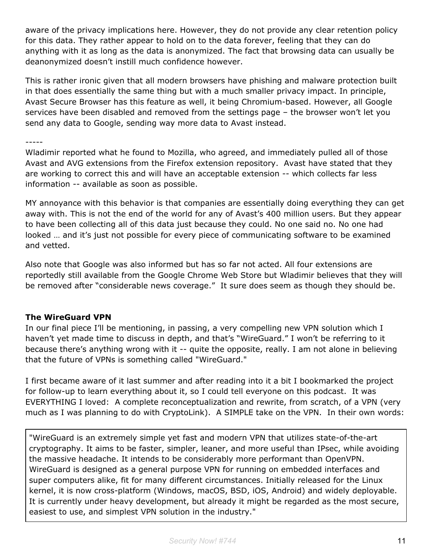aware of the privacy implications here. However, they do not provide any clear retention policy for this data. They rather appear to hold on to the data forever, feeling that they can do anything with it as long as the data is anonymized. The fact that browsing data can usually be deanonymized doesn't instill much confidence however.

This is rather ironic given that all modern browsers have phishing and malware protection built in that does essentially the same thing but with a much smaller privacy impact. In principle, Avast Secure Browser has this feature as well, it being Chromium-based. However, all Google services have been disabled and removed from the settings page – the browser won't let you send any data to Google, sending way more data to Avast instead.

-----

Wladimir reported what he found to Mozilla, who agreed, and immediately pulled all of those Avast and AVG extensions from the Firefox extension repository. Avast have stated that they are working to correct this and will have an acceptable extension -- which collects far less information -- available as soon as possible.

MY annoyance with this behavior is that companies are essentially doing everything they can get away with. This is not the end of the world for any of Avast's 400 million users. But they appear to have been collecting all of this data just because they could. No one said no. No one had looked … and it's just not possible for every piece of communicating software to be examined and vetted.

Also note that Google was also informed but has so far not acted. All four extensions are reportedly still available from the Google Chrome Web Store but Wladimir believes that they will be removed after "considerable news coverage." It sure does seem as though they should be.

#### **The WireGuard VPN**

In our final piece I'll be mentioning, in passing, a very compelling new VPN solution which I haven't yet made time to discuss in depth, and that's "WireGuard." I won't be referring to it because there's anything wrong with it -- quite the opposite, really. I am not alone in believing that the future of VPNs is something called "WireGuard."

I first became aware of it last summer and after reading into it a bit I bookmarked the project for follow-up to learn everything about it, so I could tell everyone on this podcast. It was EVERYTHING I loved: A complete reconceptualization and rewrite, from scratch, of a VPN (very much as I was planning to do with CryptoLink). A SIMPLE take on the VPN. In their own words:

"WireGuard is an extremely simple yet fast and modern VPN that utilizes state-of-the-art cryptography. It aims to be faster, simpler, leaner, and more useful than IPsec, while avoiding the massive headache. It intends to be considerably more performant than OpenVPN. WireGuard is designed as a general purpose VPN for running on embedded interfaces and super computers alike, fit for many different circumstances. Initially released for the Linux kernel, it is now cross-platform (Windows, macOS, BSD, iOS, Android) and widely deployable. It is currently under heavy development, but already it might be regarded as the most secure, easiest to use, and simplest VPN solution in the industry."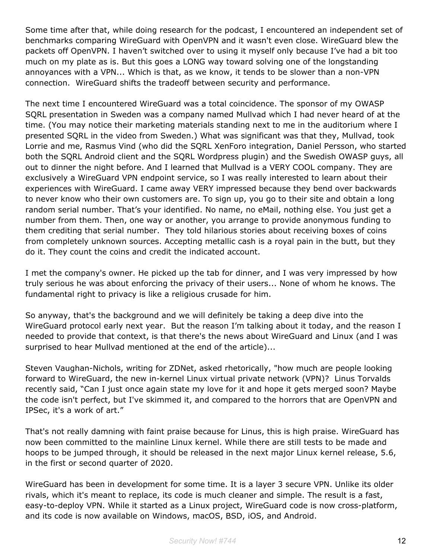Some time after that, while doing research for the podcast, I encountered an independent set of benchmarks comparing WireGuard with OpenVPN and it wasn't even close. WireGuard blew the packets off OpenVPN. I haven't switched over to using it myself only because I've had a bit too much on my plate as is. But this goes a LONG way toward solving one of the longstanding annoyances with a VPN... Which is that, as we know, it tends to be slower than a non-VPN connection. WireGuard shifts the tradeoff between security and performance.

The next time I encountered WireGuard was a total coincidence. The sponsor of my OWASP SQRL presentation in Sweden was a company named Mullvad which I had never heard of at the time. (You may notice their marketing materials standing next to me in the auditorium where I presented SQRL in the video from Sweden.) What was significant was that they, Mullvad, took Lorrie and me, Rasmus Vind (who did the SQRL XenForo integration, Daniel Persson, who started both the SQRL Android client and the SQRL Wordpress plugin) and the Swedish OWASP guys, all out to dinner the night before. And I learned that Mullvad is a VERY COOL company. They are exclusively a WireGuard VPN endpoint service, so I was really interested to learn about their experiences with WireGuard. I came away VERY impressed because they bend over backwards to never know who their own customers are. To sign up, you go to their site and obtain a long random serial number. That's your identified. No name, no eMail, nothing else. You just get a number from them. Then, one way or another, you arrange to provide anonymous funding to them crediting that serial number. They told hilarious stories about receiving boxes of coins from completely unknown sources. Accepting metallic cash is a royal pain in the butt, but they do it. They count the coins and credit the indicated account.

I met the company's owner. He picked up the tab for dinner, and I was very impressed by how truly serious he was about enforcing the privacy of their users... None of whom he knows. The fundamental right to privacy is like a religious crusade for him.

So anyway, that's the background and we will definitely be taking a deep dive into the WireGuard protocol early next year. But the reason I'm talking about it today, and the reason I needed to provide that context, is that there's the news about WireGuard and Linux (and I was surprised to hear Mullvad mentioned at the end of the article)...

Steven Vaughan-Nichols, writing for ZDNet, asked rhetorically, "how much are people looking forward to WireGuard, the new in-kernel Linux virtual private network (VPN)? Linus Torvalds recently said, "Can I just once again state my love for it and hope it gets merged soon? Maybe the code isn't perfect, but I've skimmed it, and compared to the horrors that are OpenVPN and IPSec, it's a work of art."

That's not really damning with faint praise because for Linus, this is high praise. WireGuard has now been committed to the mainline Linux kernel. While there are still tests to be made and hoops to be jumped through, it should be released in the next major Linux kernel release, 5.6, in the first or second quarter of 2020.

WireGuard has been in development for some time. It is a layer 3 secure VPN. Unlike its older rivals, which it's meant to replace, its code is much cleaner and simple. The result is a fast, easy-to-deploy VPN. While it started as a Linux project, WireGuard code is now cross-platform, and its code is now available on Windows, macOS, BSD, iOS, and Android.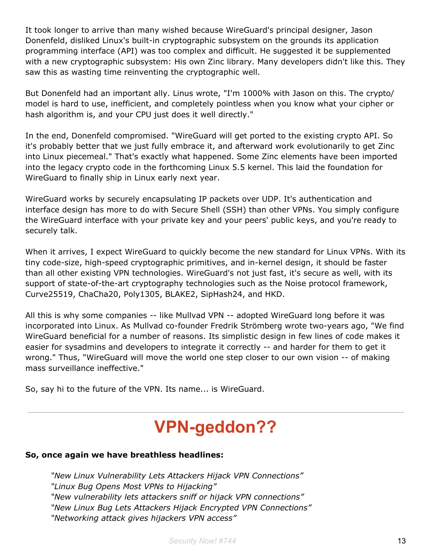It took longer to arrive than many wished because WireGuard's principal designer, Jason Donenfeld, disliked Linux's built-in cryptographic subsystem on the grounds its application programming interface (API) was too complex and difficult. He suggested it be supplemented with a new cryptographic subsystem: His own Zinc library. Many developers didn't like this. They saw this as wasting time reinventing the cryptographic well.

But Donenfeld had an important ally. Linus wrote, "I'm 1000% with Jason on this. The crypto/ model is hard to use, inefficient, and completely pointless when you know what your cipher or hash algorithm is, and your CPU just does it well directly."

In the end, Donenfeld compromised. "WireGuard will get ported to the existing crypto API. So it's probably better that we just fully embrace it, and afterward work evolutionarily to get Zinc into Linux piecemeal." That's exactly what happened. Some Zinc elements have been imported into the legacy crypto code in the forthcoming Linux 5.5 kernel. This laid the foundation for WireGuard to finally ship in Linux early next year.

WireGuard works by securely encapsulating IP packets over UDP. It's authentication and interface design has more to do with Secure Shell (SSH) than other VPNs. You simply configure the WireGuard interface with your private key and your peers' public keys, and you're ready to securely talk.

When it arrives, I expect WireGuard to quickly become the new standard for Linux VPNs. With its tiny code-size, high-speed cryptographic primitives, and in-kernel design, it should be faster than all other existing VPN technologies. WireGuard's not just fast, it's secure as well, with its support of state-of-the-art cryptography technologies such as the Noise protocol framework, Curve25519, ChaCha20, Poly1305, BLAKE2, SipHash24, and HKD.

All this is why some companies -- like Mullvad VPN -- adopted WireGuard long before it was incorporated into Linux. As Mullvad co-founder Fredrik Strömberg wrote two-years ago, "We find WireGuard beneficial for a number of reasons. Its simplistic design in few lines of code makes it easier for sysadmins and developers to integrate it correctly -- and harder for them to get it wrong." Thus, "WireGuard will move the world one step closer to our own vision -- of making mass surveillance ineffective."

So, say hi to the future of the VPN. Its name... is WireGuard.

# **VPN-geddon??**

#### **So, once again we have breathless headlines:**

*"New Linux Vulnerability Lets Attackers Hijack VPN Connections" "Linux Bug Opens Most VPNs to Hijacking" "New vulnerability lets attackers sniff or hijack VPN connections" "New Linux Bug Lets Attackers Hijack Encrypted VPN Connections" "Networking attack gives hijackers VPN access"*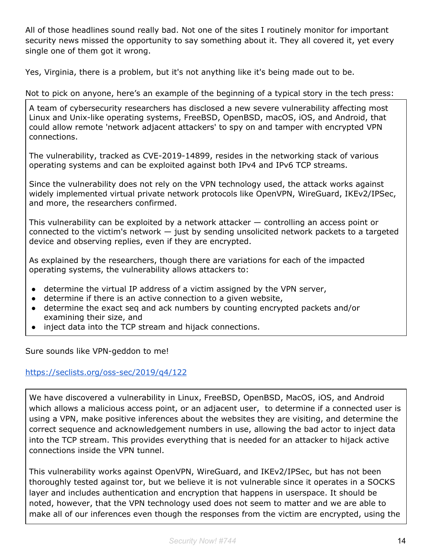All of those headlines sound really bad. Not one of the sites I routinely monitor for important security news missed the opportunity to say something about it. They all covered it, yet every single one of them got it wrong.

Yes, Virginia, there is a problem, but it's not anything like it's being made out to be.

# Not to pick on anyone, here's an example of the beginning of a typical story in the tech press:

A team of cybersecurity researchers has disclosed a new severe vulnerability affecting most Linux and Unix-like operating systems, FreeBSD, OpenBSD, macOS, iOS, and Android, that could allow remote 'network adjacent attackers' to spy on and tamper with encrypted VPN connections.

The vulnerability, tracked as CVE-2019-14899, resides in the networking stack of various operating systems and can be exploited against both IPv4 and IPv6 TCP streams.

Since the vulnerability does not rely on the VPN technology used, the attack works against widely implemented virtual private network protocols like OpenVPN, WireGuard, IKEv2/IPSec, and more, the researchers confirmed.

This vulnerability can be exploited by a network attacker — controlling an access point or connected to the victim's network  $-$  just by sending unsolicited network packets to a targeted device and observing replies, even if they are encrypted.

As explained by the researchers, though there are variations for each of the impacted operating systems, the vulnerability allows attackers to:

- determine the virtual IP address of a victim assigned by the VPN server,
- determine if there is an active connection to a given website,
- determine the exact seq and ack numbers by counting encrypted packets and/or examining their size, and
- inject data into the TCP stream and hijack connections.

Sure sounds like VPN-geddon to me!

# <https://seclists.org/oss-sec/2019/q4/122>

We have discovered a vulnerability in Linux, FreeBSD, OpenBSD, MacOS, iOS, and Android which allows a malicious access point, or an adjacent user, to determine if a connected user is using a VPN, make positive inferences about the websites they are visiting, and determine the correct sequence and acknowledgement numbers in use, allowing the bad actor to inject data into the TCP stream. This provides everything that is needed for an attacker to hijack active connections inside the VPN tunnel.

This vulnerability works against OpenVPN, WireGuard, and IKEv2/IPSec, but has not been thoroughly tested against tor, but we believe it is not vulnerable since it operates in a SOCKS layer and includes authentication and encryption that happens in userspace. It should be noted, however, that the VPN technology used does not seem to matter and we are able to make all of our inferences even though the responses from the victim are encrypted, using the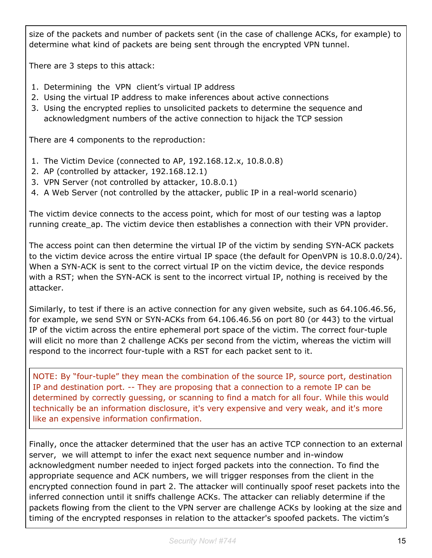size of the packets and number of packets sent (in the case of challenge ACKs, for example) to determine what kind of packets are being sent through the encrypted VPN tunnel.

There are 3 steps to this attack:

- 1. Determining the VPN client's virtual IP address
- 2. Using the virtual IP address to make inferences about active connections
- 3. Using the encrypted replies to unsolicited packets to determine the sequence and acknowledgment numbers of the active connection to hijack the TCP session

There are 4 components to the reproduction:

- 1. The Victim Device (connected to AP, 192.168.12.x, 10.8.0.8)
- 2. AP (controlled by attacker, 192.168.12.1)
- 3. VPN Server (not controlled by attacker, 10.8.0.1)
- 4. A Web Server (not controlled by the attacker, public IP in a real-world scenario)

The victim device connects to the access point, which for most of our testing was a laptop running create\_ap. The victim device then establishes a connection with their VPN provider.

The access point can then determine the virtual IP of the victim by sending SYN-ACK packets to the victim device across the entire virtual IP space (the default for OpenVPN is 10.8.0.0/24). When a SYN-ACK is sent to the correct virtual IP on the victim device, the device responds with a RST; when the SYN-ACK is sent to the incorrect virtual IP, nothing is received by the attacker.

Similarly, to test if there is an active connection for any given website, such as 64.106.46.56, for example, we send SYN or SYN-ACKs from 64.106.46.56 on port 80 (or 443) to the virtual IP of the victim across the entire ephemeral port space of the victim. The correct four-tuple will elicit no more than 2 challenge ACKs per second from the victim, whereas the victim will respond to the incorrect four-tuple with a RST for each packet sent to it.

NOTE: By "four-tuple" they mean the combination of the source IP, source port, destination IP and destination port. -- They are proposing that a connection to a remote IP can be determined by correctly guessing, or scanning to find a match for all four. While this would technically be an information disclosure, it's very expensive and very weak, and it's more like an expensive information confirmation.

Finally, once the attacker determined that the user has an active TCP connection to an external server, we will attempt to infer the exact next sequence number and in-window acknowledgment number needed to inject forged packets into the connection. To find the appropriate sequence and ACK numbers, we will trigger responses from the client in the encrypted connection found in part 2. The attacker will continually spoof reset packets into the inferred connection until it sniffs challenge ACKs. The attacker can reliably determine if the packets flowing from the client to the VPN server are challenge ACKs by looking at the size and timing of the encrypted responses in relation to the attacker's spoofed packets. The victim's